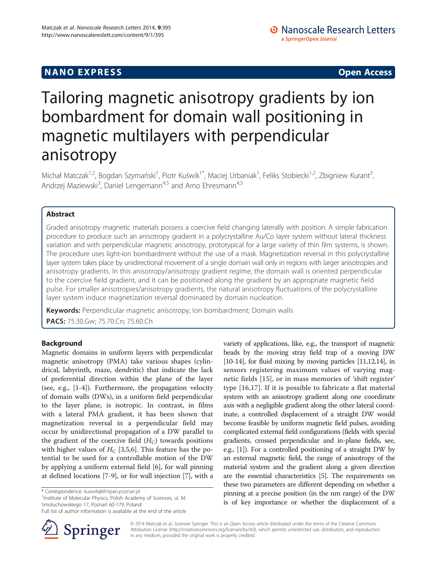## **NANO EXPRESS** Open Access **CONTROL**

# Tailoring magnetic anisotropy gradients by ion bombardment for domain wall positioning in magnetic multilayers with perpendicular anisotropy

Michał Matczak<sup>1,2</sup>, Bogdan Szymański<sup>1</sup>, Piotr Kuświk<sup>1\*</sup>, Maciej Urbaniak<sup>1</sup>, Feliks Stobiecki<sup>1,2</sup>, Zbigniew Kurant<sup>3</sup> , Andrzej Maziewski<sup>3</sup>, Daniel Lengemann<sup>4,5</sup> and Arno Ehresmann<sup>4,5</sup>

## Abstract

Graded anisotropy magnetic materials possess a coercive field changing laterally with position. A simple fabrication procedure to produce such an anisotropy gradient in a polycrystalline Au/Co layer system without lateral thickness variation and with perpendicular magnetic anisotropy, prototypical for a large variety of thin film systems, is shown. The procedure uses light-ion bombardment without the use of a mask. Magnetization reversal in this polycrystalline layer system takes place by unidirectional movement of a single domain wall only in regions with larger anisotropies and anisotropy gradients. In this anisotropy/anisotropy gradient regime, the domain wall is oriented perpendicular to the coercive field gradient, and it can be positioned along the gradient by an appropriate magnetic field pulse. For smaller anisotropies/anisotropy gradients, the natural anisotropy fluctuations of the polycrystalline layer system induce magnetization reversal dominated by domain nucleation.

Keywords: Perpendicular magnetic anisotropy; Ion bombardment; Domain walls

PACS: 75.30.Gw; 75.70.Cn; 75.60.Ch

## Background

Magnetic domains in uniform layers with perpendicular magnetic anisotropy (PMA) take various shapes (cylindrical, labyrinth, maze, dendritic) that indicate the lack of preferential direction within the plane of the layer (see, e.g., [[1-4](#page-6-0)]). Furthermore, the propagation velocity of domain walls (DWs), in a uniform field perpendicular to the layer plane, is isotropic. In contrast, in films with a lateral PMA gradient, it has been shown that magnetization reversal in a perpendicular field may occur by unidirectional propagation of a DW parallel to the gradient of the coercive field  $(H_C)$  towards positions with higher values of  $H_C$  [\[3,5,6](#page-6-0)]. This feature has the potential to be used for a controllable motion of the DW by applying a uniform external field [\[6](#page-6-0)], for wall pinning at defined locations [[7-9](#page-6-0)], or for wall injection [\[7\]](#page-6-0), with a

<sup>1</sup> Institute of Molecular Physics, Polish Academy of Sciences, ul. M. Smoluchowskiego 17, Poznań 60-179, Poland

Full list of author information is available at the end of the article



variety of applications, like, e.g., the transport of magnetic beads by the moving stray field trap of a moving DW [[10](#page-6-0)-[14\]](#page-6-0), for fluid mixing by moving particles [\[11,12,14](#page-6-0)], in sensors registering maximum values of varying magnetic fields [[15\]](#page-6-0), or in mass memories of 'shift register' type [\[16](#page-6-0),[17](#page-6-0)]. If it is possible to fabricate a flat material system with an anisotropy gradient along one coordinate axis with a negligible gradient along the other lateral coordinate, a controlled displacement of a straight DW would become feasible by uniform magnetic field pulses, avoiding complicated external field configurations (fields with special gradients, crossed perpendicular and in-plane fields, see, e.g., [\[1\]](#page-6-0)). For a controlled positioning of a straight DW by an external magnetic field, the range of anisotropy of the material system and the gradient along a given direction are the essential characteristics [[5](#page-6-0)]. The requirements on these two parameters are different depending on whether a pinning at a precise position (in the nm range) of the DW is of key importance or whether the displacement of a

© 2014 Matczak et al.; licensee Springer. This is an Open Access article distributed under the terms of the Creative Commons Attribution License [\(http://creativecommons.org/licenses/by/4.0\)](http://creativecommons.org/licenses/by/4.0), which permits unrestricted use, distribution, and reproduction in any medium, provided the original work is properly credited.

<sup>\*</sup> Correspondence: [kuswik@ifmpan.poznan.pl](mailto:kuswik@ifmpan.poznan.pl) <sup>1</sup>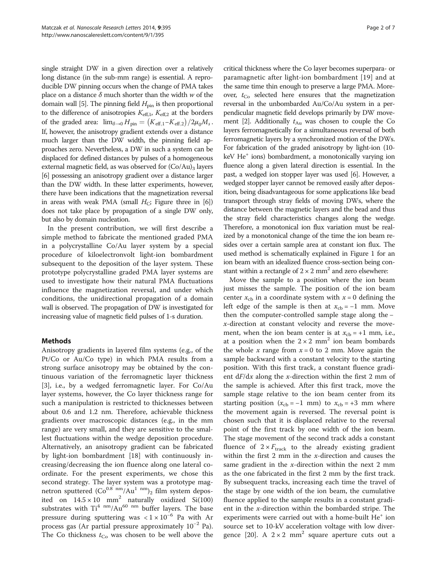single straight DW in a given direction over a relatively long distance (in the sub-mm range) is essential. A reproducible DW pinning occurs when the change of PMA takes place on a distance  $\delta$  much shorter than the width w of the domain wall [\[5](#page-6-0)]. The pinning field  $H_{\text{pin}}$  is then proportional to the difference of anisotropies  $K_{\text{eff},1}$ ,  $K_{\text{eff},2}$  at the borders of the graded area:  $\lim_{\delta \to 0} H_{\text{pin}} = (K_{\text{eff,1}} - K_{\text{eff,2}})/2\mu_0 M_s$ . If, however, the anisotropy gradient extends over a distance much larger than the DW width, the pinning field approaches zero. Nevertheless, a DW in such a system can be displaced for defined distances by pulses of a homogeneous external magnetic field, as was observed for  $(Co/Au)_3$  layers [[6](#page-6-0)] possessing an anisotropy gradient over a distance larger than the DW width. In these latter experiments, however, there have been indications that the magnetization reversal in areas with weak PMA (small  $H_C$ ; Figure three in [[6](#page-6-0)]) does not take place by propagation of a single DW only, but also by domain nucleation.

In the present contribution, we will first describe a simple method to fabricate the mentioned graded PMA in a polycrystalline Co/Au layer system by a special procedure of kiloelectronvolt light-ion bombardment subsequent to the deposition of the layer system. These prototype polycrystalline graded PMA layer systems are used to investigate how their natural PMA fluctuations influence the magnetization reversal, and under which conditions, the unidirectional propagation of a domain wall is observed. The propagation of DW is investigated for increasing value of magnetic field pulses of 1-s duration.

### Methods

Anisotropy gradients in layered film systems (e.g., of the Pt/Co or Au/Co type) in which PMA results from a strong surface anisotropy may be obtained by the continuous variation of the ferromagnetic layer thickness [[3\]](#page-6-0), i.e., by a wedged ferromagnetic layer. For Co/Au layer systems, however, the Co layer thickness range for such a manipulation is restricted to thicknesses between about 0.6 and 1.2 nm. Therefore, achievable thickness gradients over macroscopic distances (e.g., in the mm range) are very small, and they are sensitive to the smallest fluctuations within the wedge deposition procedure. Alternatively, an anisotropy gradient can be fabricated by light-ion bombardment [[18\]](#page-6-0) with continuously increasing/decreasing the ion fluence along one lateral coordinate. For the present experiments, we chose this second strategy. The layer system was a prototype magnetron sputtered  $(Co^{0.8} \text{ nm}/Au^{1} \text{ nm})_2$  film system deposited on  $14.5 \times 10 \text{ mm}^2$  naturally oxidized Si(100) substrates with  $Ti<sup>4 nm</sup>/Au<sup>60 nm</sup>$  buffer layers. The base pressure during sputtering was  $< 1 \times 10^{-6}$  Pa with Ar process gas (Ar partial pressure approximately  $10^{-2}$  Pa). The Co thickness  $t_{Co}$  was chosen to be well above the

critical thickness where the Co layer becomes superpara- or paramagnetic after light-ion bombardment [[19](#page-6-0)] and at the same time thin enough to preserve a large PMA. Moreover,  $t_{Co}$  selected here ensures that the magnetization reversal in the unbombarded Au/Co/Au system in a perpendicular magnetic field develops primarily by DW move-ment [[2](#page-6-0)]. Additionally  $t_{\text{Au}}$  was chosen to couple the Co layers ferromagnetically for a simultaneous reversal of both ferromagnetic layers by a synchronized motion of the DWs. For fabrication of the graded anisotropy by light-ion (10  $keV$  He<sup>+</sup> ions) bombardment, a monotonically varying ion fluence along a given lateral direction is essential. In the past, a wedged ion stopper layer was used [\[6\]](#page-6-0). However, a wedged stopper layer cannot be removed easily after deposition, being disadvantageous for some applications like bead transport through stray fields of moving DWs, where the distance between the magnetic layers and the bead and thus the stray field characteristics changes along the wedge. Therefore, a monotonical ion flux variation must be realized by a monotonical change of the time the ion beam resides over a certain sample area at constant ion flux. The used method is schematically explained in Figure [1](#page-2-0) for an ion beam with an idealized fluence cross-section being constant within a rectangle of  $2 \times 2$  mm<sup>2</sup> and zero elsewhere:

Move the sample to a position where the ion beam just misses the sample. The position of the ion beam center  $x_{cb}$  in a coordinate system with  $x = 0$  defining the left edge of the sample is then at  $x_{cb} = -1$  mm. Move then the computer-controlled sample stage along the − x-direction at constant velocity and reverse the movement, when the ion beam center is at  $x_{cb} = +1$  mm, i.e., at a position when the  $2 \times 2$  mm<sup>2</sup> ion beam bombards the whole x range from  $x = 0$  to 2 mm. Move again the sample backward with a constant velocity to the starting position. With this first track, a constant fluence gradient  $dF/dx$  along the x-direction within the first 2 mm of the sample is achieved. After this first track, move the sample stage relative to the ion beam center from its starting position ( $x_{cb} = -1$  mm) to  $x_{cb} = +3$  mm where the movement again is reversed. The reversal point is chosen such that it is displaced relative to the reversal point of the first track by one width of the ion beam. The stage movement of the second track adds a constant fluence of  $2 \times F_{\text{track}}$  to the already existing gradient within the first 2 mm in the  $x$ -direction and causes the same gradient in the  $x$ -direction within the next 2 mm as the one fabricated in the first 2 mm by the first track. By subsequent tracks, increasing each time the travel of the stage by one width of the ion beam, the cumulative fluence applied to the sample results in a constant gradient in the x-direction within the bombarded stripe. The experiments were carried out with a home-built  $He<sup>+</sup>$  ion source set to 10-kV acceleration voltage with low diver-gence [[20\]](#page-6-0). A  $2 \times 2$  mm<sup>2</sup> square aperture cuts out a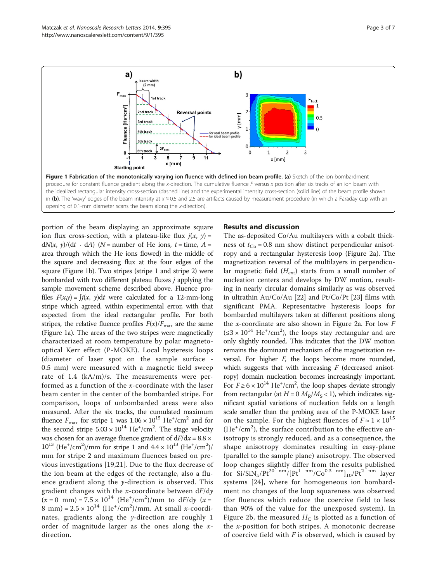<span id="page-2-0"></span>

portion of the beam displaying an approximate square ion flux cross-section, with a plateau-like flux  $j(x, y) =$ d $N(x, y)/(dt \cdot dA)$  (N = number of He ions, t = time, A = area through which the He ions flowed) in the middle of the square and decreasing flux at the four edges of the square (Figure 1b). Two stripes (stripe 1 and stripe 2) were bombarded with two different plateau fluxes j applying the sample movement scheme described above. Fluence profiles  $F(x,y) = \int i(x, y) dt$  were calculated for a 12-mm-long stripe which agreed, within experimental error, with that expected from the ideal rectangular profile. For both stripes, the relative fluence profiles  $F(x)/F_{\text{max}}$  are the same (Figure 1a). The areas of the two stripes were magnetically characterized at room temperature by polar magnetooptical Kerr effect (P-MOKE). Local hysteresis loops (diameter of laser spot on the sample surface - 0.5 mm) were measured with a magnetic field sweep rate of 1.4 (kA/m)/s. The measurements were performed as a function of the x-coordinate with the laser beam center in the center of the bombarded stripe. For comparison, loops of unbombarded areas were also measured. After the six tracks, the cumulated maximum fluence  $F_{\text{max}}$  for stripe 1 was  $1.06 \times 10^{15}$  He<sup>+</sup>/cm<sup>2</sup> and for the second stripe  $5.03 \times 10^{14}$  He<sup>+</sup>/cm<sup>2</sup>. The stage velocity was chosen for an average fluence gradient of  $dF/dx = 8.8 \times$  $10^{13}$  (He<sup>+</sup>/cm<sup>2</sup>)/mm for stripe 1 and  $4.4 \times 10^{13}$  (He<sup>+</sup>/cm<sup>2</sup>)/ mm for stripe 2 and maximum fluences based on previous investigations [[19,21](#page-6-0)]. Due to the flux decrease of the ion beam at the edges of the rectangle, also a fluence gradient along the y-direction is observed. This gradient changes with the  $x$ -coordinate between  $dF/dy$  $(x = 0$  mm $) = 7.5 \times 10^{14}$  (He<sup>+</sup>/cm<sup>2</sup>)/mm to dF/dy (x = 8 mm) =  $2.5 \times 10^{14}$  (He<sup>+</sup>/cm<sup>2</sup>)/mm. At small *x*-coordinates, gradients along the  $\gamma$ -direction are roughly 1 order of magnitude larger as the ones along the  $x$ direction.

#### Results and discussion

The as-deposited Co/Au multilayers with a cobalt thickness of  $t_{Co} = 0.8$  nm show distinct perpendicular anisotropy and a rectangular hysteresis loop (Figure [2a](#page-3-0)). The magnetization reversal of the multilayers in perpendicular magnetic field  $(H_{ext})$  starts from a small number of nucleation centers and develops by DW motion, resulting in nearly circular domains similarly as was observed in ultrathin Au/Co/Au [\[22](#page-6-0)] and Pt/Co/Pt [\[23](#page-6-0)] films with significant PMA. Representative hysteresis loops for bombarded multilayers taken at different positions along the x-coordinate are also shown in Figure [2a](#page-3-0). For low  $F$  $(\leq 3 \times 10^{14} \text{ He}^{\dagger}/\text{cm}^2)$ , the loops stay rectangular and are only slightly rounded. This indicates that the DW motion remains the dominant mechanism of the magnetization reversal. For higher  $F$ , the loops become more rounded, which suggests that with increasing  $F$  (decreased anisotropy) domain nucleation becomes increasingly important. For  $F \ge 6 \times 10^{14}$  He<sup>+</sup>/cm<sup>2</sup>, the loop shapes deviate strongly from rectangular (at  $H = 0$   $M_R/M_S < 1$ ), which indicates significant spatial variations of nucleation fields on a length scale smaller than the probing area of the P-MOKE laser on the sample. For the highest fluences of  $F \approx 1 \times 10^{15}$  $(He<sup>+</sup>/cm<sup>2</sup>)$ , the surface contribution to the effective anisotropy is strongly reduced, and as a consequence, the shape anisotropy dominates resulting in easy-plane (parallel to the sample plane) anisotropy. The observed loop changes slightly differ from the results published for  $Si/SiN_x/Pt^{20}$  nm/ $[Pt^{1}$  nm/ $Co^{0.3}$  nm $]_{10}/Pt^{2}$  nm layer systems [[24](#page-6-0)], where for homogeneous ion bombardment no changes of the loop squareness was observed (for fluences which reduce the coercive field to less than 90% of the value for the unexposed system). In Figure [2](#page-3-0)b, the measured  $H_C$  is plotted as a function of the x-position for both stripes. A monotonic decrease of coercive field with  $F$  is observed, which is caused by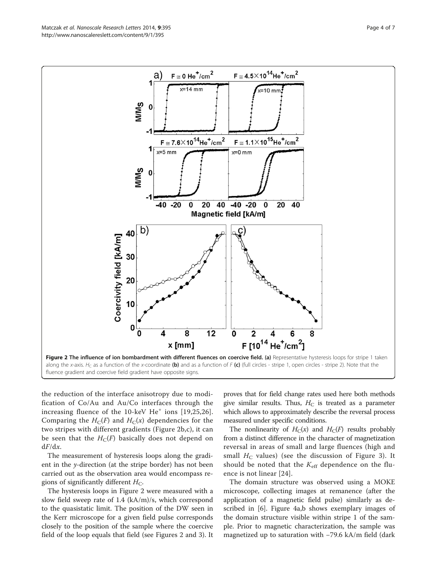<span id="page-3-0"></span>

the reduction of the interface anisotropy due to modification of Co/Au and Au/Co interfaces through the increasing fluence of the 10-keV He<sup>+</sup> ions [[19,25,26](#page-6-0)]. Comparing the  $H_C(F)$  and  $H_C(x)$  dependencies for the two stripes with different gradients (Figure 2b,c), it can be seen that the  $H_C(F)$  basically does not depend on  $dF/dx$ .

The measurement of hysteresis loops along the gradient in the y-direction (at the stripe border) has not been carried out as the observation area would encompass regions of significantly different  $H_C$ .

The hysteresis loops in Figure 2 were measured with a slow field sweep rate of 1.4 (kA/m)/s, which correspond to the quasistatic limit. The position of the DW seen in the Kerr microscope for a given field pulse corresponds closely to the position of the sample where the coercive field of the loop equals that field (see Figures 2 and [3\)](#page-4-0). It proves that for field change rates used here both methods give similar results. Thus,  $H_C$  is treated as a parameter which allows to approximately describe the reversal process measured under specific conditions.

The nonlinearity of  $H_C(x)$  and  $H_C(F)$  results probably from a distinct difference in the character of magnetization reversal in areas of small and large fluences (high and small  $H_C$  values) (see the discussion of Figure [3](#page-4-0)). It should be noted that the  $K_{\text{eff}}$  dependence on the fluence is not linear [[24](#page-6-0)].

The domain structure was observed using a MOKE microscope, collecting images at remanence (after the application of a magnetic field pulse) similarly as described in [[6](#page-6-0)]. Figure [4a](#page-4-0),b shows exemplary images of the domain structure visible within stripe 1 of the sample. Prior to magnetic characterization, the sample was magnetized up to saturation with −79.6 kA/m field (dark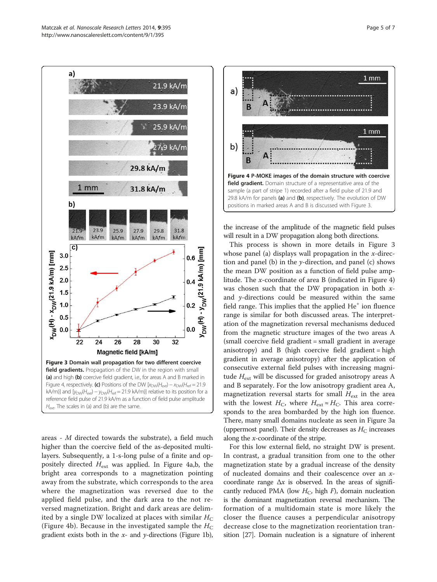<span id="page-4-0"></span>

areas - M directed towards the substrate), a field much higher than the coercive field of the as-deposited multilayers. Subsequently, a 1-s-long pulse of a finite and oppositely directed  $H_{ext}$  was applied. In Figure 4a,b, the bright area corresponds to a magnetization pointing away from the substrate, which corresponds to the area where the magnetization was reversed due to the applied field pulse, and the dark area to the not reversed magnetization. Bright and dark areas are delimited by a single DW localized at places with similar  $H_C$ (Figure 4b). Because in the investigated sample the  $H_C$ gradient exists both in the  $x$ - and  $y$ -directions (Figure [1b](#page-2-0)),



the increase of the amplitude of the magnetic field pulses will result in a DW propagation along both directions.

This process is shown in more details in Figure 3 whose panel (a) displays wall propagation in the  $x$ -direction and panel (b) in the  $y$ -direction, and panel (c) shows the mean DW position as a function of field pulse amplitude. The x-coordinate of area B (indicated in Figure 4) was chosen such that the DW propagation in both  $x$ and  $y$ -directions could be measured within the same field range. This implies that the applied  $He<sup>+</sup>$  ion fluence range is similar for both discussed areas. The interpretation of the magnetization reversal mechanisms deduced from the magnetic structure images of the two areas A (small coercive field gradient = small gradient in average anisotropy) and B (high coercive field gradient = high gradient in average anisotropy) after the application of consecutive external field pulses with increasing magnitude  $H_{\text{ext}}$  will be discussed for graded anisotropy areas A and B separately. For the low anisotropy gradient area A, magnetization reversal starts for small  $H_{\text{ext}}$  in the area with the lowest  $H_C$ , where  $H_{ext} \approx H_C$ . This area corresponds to the area bombarded by the high ion fluence. There, many small domains nucleate as seen in Figure 3a (uppermost panel). Their density decreases as  $H_C$  increases along the x-coordinate of the stripe.

For this low external field, no straight DW is present. In contrast, a gradual transition from one to the other magnetization state by a gradual increase of the density of nucleated domains and their coalescence over an xcoordinate range  $\Delta x$  is observed. In the areas of significantly reduced PMA (low  $H_C$ , high  $F$ ), domain nucleation is the dominant magnetization reversal mechanism. The formation of a multidomain state is more likely the closer the fluence causes a perpendicular anisotropy decrease close to the magnetization reorientation transition [[27](#page-6-0)]. Domain nucleation is a signature of inherent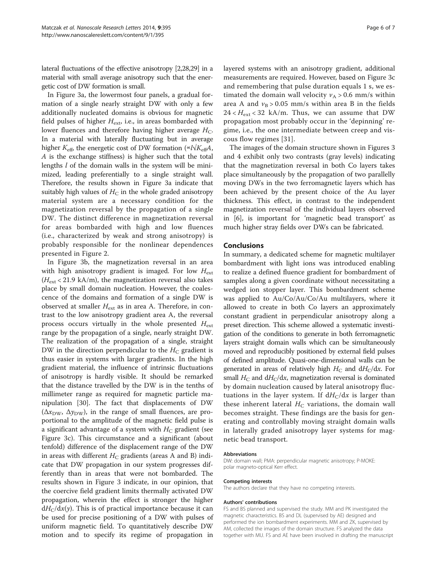lateral fluctuations of the effective anisotropy [[2,28,29\]](#page-6-0) in a material with small average anisotropy such that the energetic cost of DW formation is small.

In Figure [3a](#page-4-0), the lowermost four panels, a gradual formation of a single nearly straight DW with only a few additionally nucleated domains is obvious for magnetic field pulses of higher  $H_{\text{ext}}$ , i.e., in areas bombarded with lower fluences and therefore having higher average  $H_C$ . In a material with laterally fluctuating but in average higher  $K_{\text{eff}}$ , the energetic cost of DW formation (∝l√ $K_{\text{eff}}A$ , A is the exchange stiffness) is higher such that the total lengths *l* of the domain walls in the system will be minimized, leading preferentially to a single straight wall. Therefore, the results shown in Figure [3a](#page-4-0) indicate that suitably high values of  $H_C$  in the whole graded anisotropy material system are a necessary condition for the magnetization reversal by the propagation of a single DW. The distinct difference in magnetization reversal for areas bombarded with high and low fluences (i.e., characterized by weak and strong anisotropy) is probably responsible for the nonlinear dependences presented in Figure [2](#page-3-0).

In Figure [3b](#page-4-0), the magnetization reversal in an area with high anisotropy gradient is imaged. For low  $H_{\text{ext}}$  $(H_{ext}$  < 21.9 kA/m), the magnetization reversal also takes place by small domain nucleation. However, the coalescence of the domains and formation of a single DW is observed at smaller  $H_{ext}$  as in area A. Therefore, in contrast to the low anisotropy gradient area A, the reversal process occurs virtually in the whole presented  $H_{\text{ext}}$ range by the propagation of a single, nearly straight DW. The realization of the propagation of a single, straight DW in the direction perpendicular to the  $H_C$  gradient is thus easier in systems with larger gradients. In the high gradient material, the influence of intrinsic fluctuations of anisotropy is hardly visible. It should be remarked that the distance travelled by the DW is in the tenths of millimeter range as required for magnetic particle manipulation [[30\]](#page-6-0). The fact that displacements of DW ( $\Delta x_{\text{DW}}$ ,  $\Delta y_{\text{DW}}$ ), in the range of small fluences, are proportional to the amplitude of the magnetic field pulse is a significant advantage of a system with  $H_C$  gradient (see Figure [3](#page-4-0)c). This circumstance and a significant (about tenfold) difference of the displacement range of the DW in areas with different  $H_C$  gradients (areas A and B) indicate that DW propagation in our system progresses differently than in areas that were not bombarded. The results shown in Figure [3](#page-4-0) indicate, in our opinion, that the coercive field gradient limits thermally activated DW propagation, wherein the effect is stronger the higher  $dH_C/dx(y)$ . This is of practical importance because it can be used for precise positioning of a DW with pulses of uniform magnetic field. To quantitatively describe DW motion and to specify its regime of propagation in layered systems with an anisotropy gradient, additional measurements are required. However, based on Figure [3](#page-4-0)c and remembering that pulse duration equals 1 s, we estimated the domain wall velocity  $v_A > 0.6$  mm/s within area A and  $v_B > 0.05$  mm/s within area B in the fields  $24 < H_{\text{ext}} < 32$  kA/m. Thus, we can assume that DW propagation most probably occur in the 'depinning' regime, i.e., the one intermediate between creep and viscous flow regimes [[31\]](#page-6-0).

The images of the domain structure shown in Figures [3](#page-4-0) and [4](#page-4-0) exhibit only two contrasts (gray levels) indicating that the magnetization reversal in both Co layers takes place simultaneously by the propagation of two parallelly moving DWs in the two ferromagnetic layers which has been achieved by the present choice of the Au layer thickness. This effect, in contrast to the independent magnetization reversal of the individual layers observed in [[6\]](#page-6-0), is important for 'magnetic bead transport' as much higher stray fields over DWs can be fabricated.

#### **Conclusions**

In summary, a dedicated scheme for magnetic multilayer bombardment with light ions was introduced enabling to realize a defined fluence gradient for bombardment of samples along a given coordinate without necessitating a wedged ion stopper layer. This bombardment scheme was applied to Au/Co/Au/Co/Au multilayers, where it allowed to create in both Co layers an approximately constant gradient in perpendicular anisotropy along a preset direction. This scheme allowed a systematic investigation of the conditions to generate in both ferromagnetic layers straight domain walls which can be simultaneously moved and reproducibly positioned by external field pulses of defined amplitude. Quasi-one-dimensional walls can be generated in areas of relatively high  $H_C$  and  $dH_C/dx$ . For small  $H_C$  and  $dH_C/dx$ , magnetization reversal is dominated by domain nucleation caused by lateral anisotropy fluctuations in the layer system. If  $dH_C/dx$  is larger than these inherent lateral  $H_C$  variations, the domain wall becomes straight. These findings are the basis for generating and controllably moving straight domain walls in laterally graded anisotropy layer systems for magnetic bead transport.

#### Abbreviations

DW: domain wall; PMA: perpendicular magnetic anisotropy; P-MOKE: polar magneto-optical Kerr effect.

#### Competing interests

The authors declare that they have no competing interests.

#### Authors' contributions

FS and BS planned and supervised the study. MM and PK investigated the magnetic characteristics. BS and DL (supervised by AE) designed and performed the ion bombardment experiments. MM and ZK, supervised by AM, collected the images of the domain structure. FS analyzed the data together with MU. FS and AE have been involved in drafting the manuscript